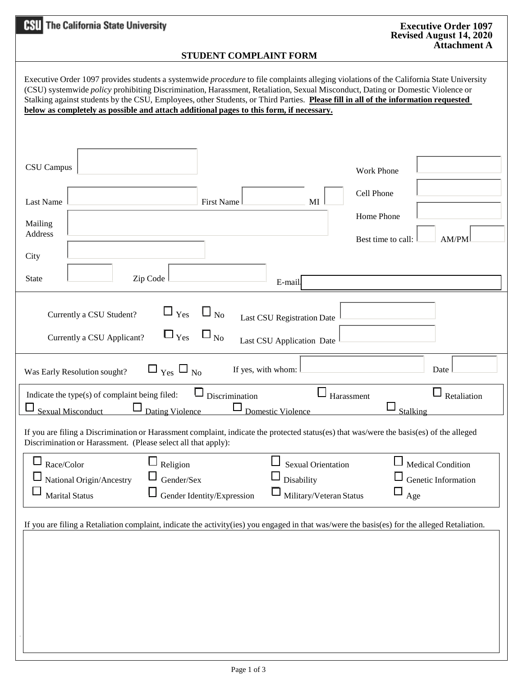| <b>HSU</b> The California State University                                                                                                                                                                                                                                                                                                                                                                                                                                                                               | <b>Executive Order 1097</b><br><b>Revised August 14, 2020</b> |  |  |  |  |  |
|--------------------------------------------------------------------------------------------------------------------------------------------------------------------------------------------------------------------------------------------------------------------------------------------------------------------------------------------------------------------------------------------------------------------------------------------------------------------------------------------------------------------------|---------------------------------------------------------------|--|--|--|--|--|
| <b>Attachment A</b><br>STUDENT COMPLAINT FORM                                                                                                                                                                                                                                                                                                                                                                                                                                                                            |                                                               |  |  |  |  |  |
| Executive Order 1097 provides students a systemwide <i>procedure</i> to file complaints alleging violations of the California State University<br>(CSU) systemwide <i>policy</i> prohibiting Discrimination, Harassment, Retaliation, Sexual Misconduct, Dating or Domestic Violence or<br>Stalking against students by the CSU, Employees, other Students, or Third Parties. Please fill in all of the information requested<br>below as completely as possible and attach additional pages to this form, if necessary. |                                                               |  |  |  |  |  |
| <b>CSU</b> Campus                                                                                                                                                                                                                                                                                                                                                                                                                                                                                                        | <b>Work Phone</b>                                             |  |  |  |  |  |
| <b>First Name</b><br>MI<br><b>Last Name</b>                                                                                                                                                                                                                                                                                                                                                                                                                                                                              | Cell Phone                                                    |  |  |  |  |  |
| Mailing                                                                                                                                                                                                                                                                                                                                                                                                                                                                                                                  | Home Phone                                                    |  |  |  |  |  |
| Address                                                                                                                                                                                                                                                                                                                                                                                                                                                                                                                  | Best time to call:<br>AM/PM                                   |  |  |  |  |  |
| City                                                                                                                                                                                                                                                                                                                                                                                                                                                                                                                     |                                                               |  |  |  |  |  |
| Zip Code<br><b>State</b><br>E-mail                                                                                                                                                                                                                                                                                                                                                                                                                                                                                       |                                                               |  |  |  |  |  |
| $\Box$ Yes $\Box$ No<br>Currently a CSU Student?<br>Last CSU Registration Date<br>$\Box_{\rm Yes}$ $\Box_{\rm No}$<br>Currently a CSU Applicant?<br>Last CSU Application Date                                                                                                                                                                                                                                                                                                                                            |                                                               |  |  |  |  |  |
| $\square$ $_{\text{Yes}}$ $\square$ $_{\text{No}}$<br>If yes, with whom:<br>Was Early Resolution sought?                                                                                                                                                                                                                                                                                                                                                                                                                 | Date                                                          |  |  |  |  |  |
| $\Box$ Retaliation<br>Indicate the type(s) of complaint being filed:<br>Discrimination<br>Harassment<br>$\Box$                                                                                                                                                                                                                                                                                                                                                                                                           |                                                               |  |  |  |  |  |
| Dating Violence<br>Sexual Misconduct<br><b>Domestic Violence</b><br>Stalking<br>If you are filing a Discrimination or Harassment complaint, indicate the protected status(es) that was/were the basis(es) of the alleged<br>Discrimination or Harassment. (Please select all that apply):                                                                                                                                                                                                                                |                                                               |  |  |  |  |  |
| Race/Color<br>Religion<br>Medical Condition<br><b>Sexual Orientation</b>                                                                                                                                                                                                                                                                                                                                                                                                                                                 |                                                               |  |  |  |  |  |
| Genetic Information<br>National Origin/Ancestry<br>Gender/Sex<br>Disability<br>Military/Veteran Status<br>Age<br><b>Marital Status</b><br>Gender Identity/Expression                                                                                                                                                                                                                                                                                                                                                     |                                                               |  |  |  |  |  |
| If you are filing a Retaliation complaint, indicate the activity(ies) you engaged in that was/were the basis(es) for the alleged Retaliation.                                                                                                                                                                                                                                                                                                                                                                            |                                                               |  |  |  |  |  |
|                                                                                                                                                                                                                                                                                                                                                                                                                                                                                                                          |                                                               |  |  |  |  |  |
|                                                                                                                                                                                                                                                                                                                                                                                                                                                                                                                          |                                                               |  |  |  |  |  |
|                                                                                                                                                                                                                                                                                                                                                                                                                                                                                                                          |                                                               |  |  |  |  |  |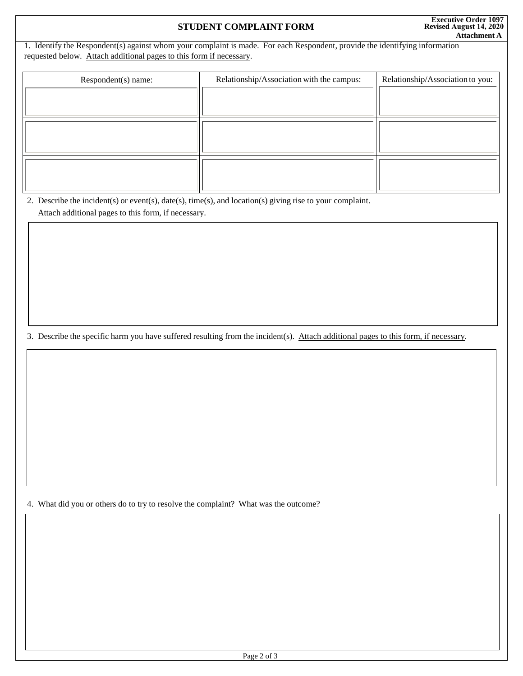## **STUDENT COMPLAINT FORM**

1. Identify the Respondent(s) against whom your complaint is made. For each Respondent, provide the identifying information requested below. Attach additional pages to this form if necessary.

| Respondent(s) name: | Relationship/Association with the campus: | Relationship/Association to you: |
|---------------------|-------------------------------------------|----------------------------------|
|                     |                                           |                                  |
|                     |                                           |                                  |
|                     |                                           |                                  |
|                     |                                           |                                  |
|                     |                                           |                                  |
|                     |                                           |                                  |

2. Describe the incident(s) or event(s), date(s), time(s), and location(s) giving rise to your complaint. Attach additional pages to this form, if necessary.

3. Describe the specific harm you have suffered resulting from the incident(s). Attach additional pages to this form, if necessary.

4. What did you or others do to try to resolve the complaint? What was the outcome?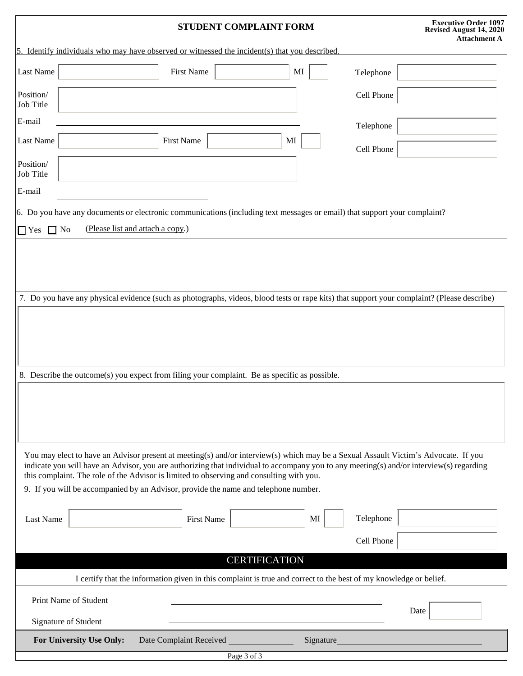|                                                                                                                                                                                                                                                                                                                                                                                    |                                               | STUDENT COMPLAINT FORM                                                                                                    |                      |            | <b>Executive Order 1097</b><br>Revised August 14, 2020<br><b>Attachment A</b> |  |  |
|------------------------------------------------------------------------------------------------------------------------------------------------------------------------------------------------------------------------------------------------------------------------------------------------------------------------------------------------------------------------------------|-----------------------------------------------|---------------------------------------------------------------------------------------------------------------------------|----------------------|------------|-------------------------------------------------------------------------------|--|--|
| 5. Identify individuals who may have observed or witnessed the incident(s) that you described.                                                                                                                                                                                                                                                                                     |                                               |                                                                                                                           |                      |            |                                                                               |  |  |
| Last Name                                                                                                                                                                                                                                                                                                                                                                          |                                               | <b>First Name</b>                                                                                                         | MI                   | Telephone  |                                                                               |  |  |
| Position/<br>Job Title                                                                                                                                                                                                                                                                                                                                                             |                                               |                                                                                                                           |                      | Cell Phone |                                                                               |  |  |
| E-mail                                                                                                                                                                                                                                                                                                                                                                             |                                               |                                                                                                                           |                      | Telephone  |                                                                               |  |  |
| Last Name                                                                                                                                                                                                                                                                                                                                                                          |                                               | <b>First Name</b>                                                                                                         | MI                   | Cell Phone |                                                                               |  |  |
| Position/<br>Job Title                                                                                                                                                                                                                                                                                                                                                             |                                               |                                                                                                                           |                      |            |                                                                               |  |  |
| E-mail                                                                                                                                                                                                                                                                                                                                                                             |                                               |                                                                                                                           |                      |            |                                                                               |  |  |
|                                                                                                                                                                                                                                                                                                                                                                                    |                                               | 6. Do you have any documents or electronic communications (including text messages or email) that support your complaint? |                      |            |                                                                               |  |  |
| $\Box$ Yes                                                                                                                                                                                                                                                                                                                                                                         | (Please list and attach a copy.)<br>$\Box$ No |                                                                                                                           |                      |            |                                                                               |  |  |
| 7. Do you have any physical evidence (such as photographs, videos, blood tests or rape kits) that support your complaint? (Please describe)<br>8. Describe the outcome(s) you expect from filing your complaint. Be as specific as possible.<br>You may elect to have an Advisor present at meeting(s) and/or interview(s) which may be a Sexual Assault Victim's Advocate. If you |                                               |                                                                                                                           |                      |            |                                                                               |  |  |
| indicate you will have an Advisor, you are authorizing that individual to accompany you to any meeting(s) and/or interview(s) regarding<br>this complaint. The role of the Advisor is limited to observing and consulting with you.<br>9. If you will be accompanied by an Advisor, provide the name and telephone number.                                                         |                                               |                                                                                                                           |                      |            |                                                                               |  |  |
| Last Name                                                                                                                                                                                                                                                                                                                                                                          |                                               | <b>First Name</b>                                                                                                         | MI                   | Telephone  |                                                                               |  |  |
|                                                                                                                                                                                                                                                                                                                                                                                    |                                               |                                                                                                                           |                      | Cell Phone |                                                                               |  |  |
|                                                                                                                                                                                                                                                                                                                                                                                    |                                               |                                                                                                                           | <b>CERTIFICATION</b> |            |                                                                               |  |  |
| I certify that the information given in this complaint is true and correct to the best of my knowledge or belief.                                                                                                                                                                                                                                                                  |                                               |                                                                                                                           |                      |            |                                                                               |  |  |
|                                                                                                                                                                                                                                                                                                                                                                                    | Print Name of Student                         |                                                                                                                           |                      |            |                                                                               |  |  |
|                                                                                                                                                                                                                                                                                                                                                                                    | Signature of Student                          |                                                                                                                           |                      |            | Date                                                                          |  |  |
|                                                                                                                                                                                                                                                                                                                                                                                    | For University Use Only:                      | Date Complaint Received _______________                                                                                   | Signature_           |            |                                                                               |  |  |
| Page 3 of 3                                                                                                                                                                                                                                                                                                                                                                        |                                               |                                                                                                                           |                      |            |                                                                               |  |  |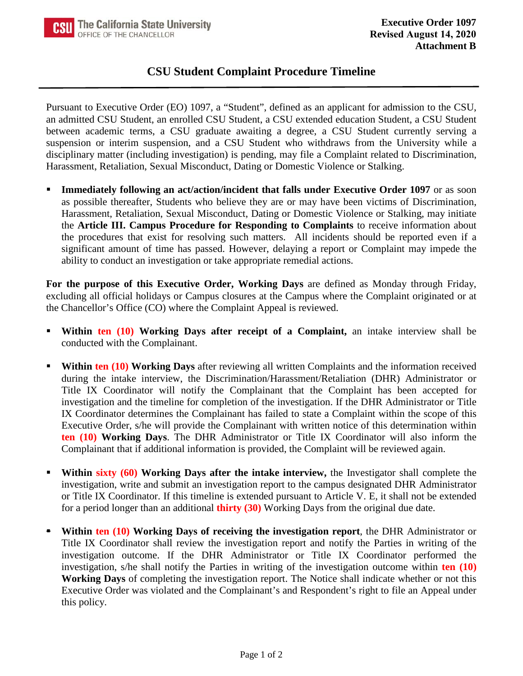## **CSU Student Complaint Procedure Timeline**

Pursuant to Executive Order (EO) 1097, a "Student", defined as an applicant for admission to the CSU, an admitted CSU Student, an enrolled CSU Student, a CSU extended education Student, a CSU Student between academic terms, a CSU graduate awaiting a degree, a CSU Student currently serving a suspension or interim suspension, and a CSU Student who withdraws from the University while a disciplinary matter (including investigation) is pending, may file a Complaint related to Discrimination, Harassment, Retaliation, Sexual Misconduct, Dating or Domestic Violence or Stalking.

 **Immediately following an act/action/incident that falls under Executive Order 1097** or as soon as possible thereafter, Students who believe they are or may have been victims of Discrimination, Harassment, Retaliation, Sexual Misconduct, Dating or Domestic Violence or Stalking, may initiate the **Article III. Campus Procedure for Responding to Complaints** to receive information about the procedures that exist for resolving such matters. All incidents should be reported even if a significant amount of time has passed. However, delaying a report or Complaint may impede the ability to conduct an investigation or take appropriate remedial actions.

**For the purpose of this Executive Order, Working Days** are defined as Monday through Friday, excluding all official holidays or Campus closures at the Campus where the Complaint originated or at the Chancellor's Office (CO) where the Complaint Appeal is reviewed.

- **Within ten (10) Working Days after receipt of a Complaint,** an intake interview shall be conducted with the Complainant.
- **Within ten (10) Working Days** after reviewing all written Complaints and the information received during the intake interview, the Discrimination/Harassment/Retaliation (DHR) Administrator or Title IX Coordinator will notify the Complainant that the Complaint has been accepted for investigation and the timeline for completion of the investigation. If the DHR Administrator or Title IX Coordinator determines the Complainant has failed to state a Complaint within the scope of this Executive Order, s/he will provide the Complainant with written notice of this determination within **ten (10) Working Days**. The DHR Administrator or Title IX Coordinator will also inform the Complainant that if additional information is provided, the Complaint will be reviewed again.
- **Within sixty (60) Working Days after the intake interview,** the Investigator shall complete the investigation, write and submit an investigation report to the campus designated DHR Administrator or Title IX Coordinator. If this timeline is extended pursuant to Article V. E, it shall not be extended for a period longer than an additional **thirty (30)** Working Days from the original due date.
- **Within ten (10) Working Days of receiving the investigation report**, the DHR Administrator or Title IX Coordinator shall review the investigation report and notify the Parties in writing of the investigation outcome. If the DHR Administrator or Title IX Coordinator performed the investigation, s/he shall notify the Parties in writing of the investigation outcome within **ten (10) Working Days** of completing the investigation report. The Notice shall indicate whether or not this Executive Order was violated and the Complainant's and Respondent's right to file an Appeal under this policy.